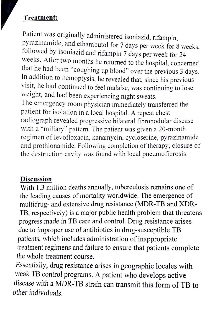## **Treatment:**

Patient was originally administered isoniazid, rifampin, pyrazinamide, and ethambutol for 7 days per week for 8 weeks, followed by isoniazid and rifampin 7 days per week for 24 weeks. After two months he returned to the hospital, concerned that he had been "coughing up blood" over the previous 3 days. In addition to hemoptysis, he revealed that, since his previous visit, he had continued to feel malaise, was continuing to lose weight, and had been experiencing night sweats. The emergency room physician immediately transferred the patient for isolation in a local hospital. A repeat chest radiograph revealed progressive bilateral fibronodular disease with a "miliary" pattern. The patient was given a 20-month regimen of levofloxacin, kanamycin, cycloserine, pyrazinamide and prothionamide. Following completion of therapy, closure of the destruction cavity was found with local pneumofibrosis.

## **Discussion**

With 1.3 million deaths annually, tuberculosis remains one of the leading causes of mortality worldwide. The emergence of multidrug- and extensive drug resistance (MDR-TB and XDR-TB, respectively) is a major public health problem that threatens progress made in TB care and control. Drug resistance arises due to improper use of antibiotics in drug-susceptible TB *patients, which* includes administration of inappropriate treatment regimens and failure to ensure that patients complete the whole treatment course.

*Essentially,* drug resistance arises in geographic locales with weak TB *control* programs. A patient who develops active *disease with* a MDR-TB strain can transmit this form of TB to other *individuals.*